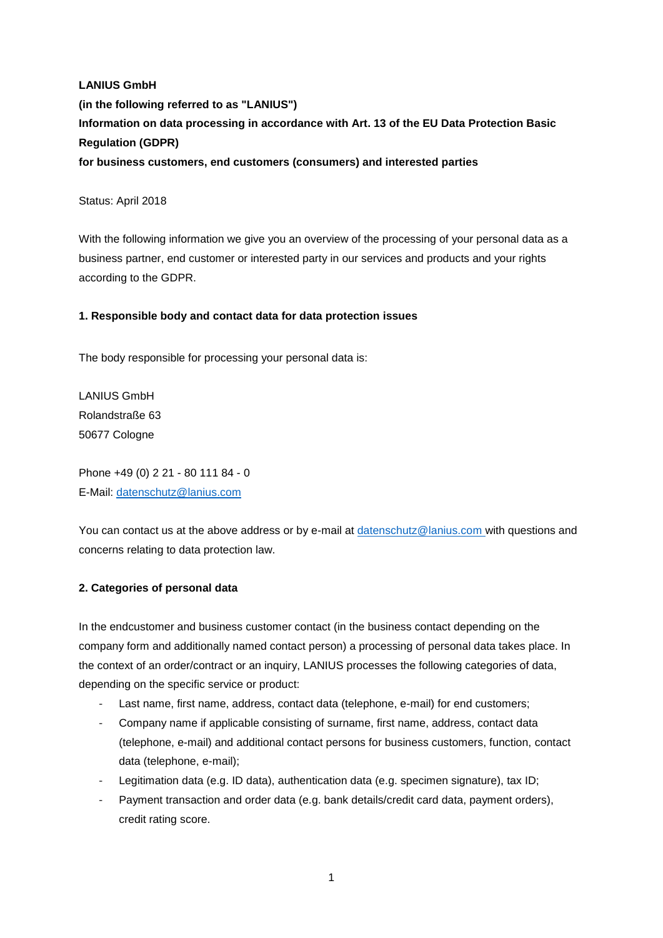# **LANIUS GmbH (in the following referred to as "LANIUS") Information on data processing in accordance with Art. 13 of the EU Data Protection Basic Regulation (GDPR) for business customers, end customers (consumers) and interested parties**

#### Status: April 2018

With the following information we give you an overview of the processing of your personal data as a business partner, end customer or interested party in our services and products and your rights according to the GDPR.

## **1. Responsible body and contact data for data protection issues**

The body responsible for processing your personal data is:

LANIUS GmbH Rolandstraße 63 50677 Cologne

Phone +49 (0) 2 21 - 80 111 84 - 0 E-Mail: [datenschutz@lanius.com](mailto:datenschutz@lanius.com)

You can contact us at the above address or by e-mail at [datenschutz@lanius.com](mailto:datenschutz@lanius.com) with questions and concerns relating to data protection law.

# **2. Categories of personal data**

In the endcustomer and business customer contact (in the business contact depending on the company form and additionally named contact person) a processing of personal data takes place. In the context of an order/contract or an inquiry, LANIUS processes the following categories of data, depending on the specific service or product:

- Last name, first name, address, contact data (telephone, e-mail) for end customers;
- Company name if applicable consisting of surname, first name, address, contact data (telephone, e-mail) and additional contact persons for business customers, function, contact data (telephone, e-mail);
- Legitimation data (e.g. ID data), authentication data (e.g. specimen signature), tax ID;
- Payment transaction and order data (e.g. bank details/credit card data, payment orders), credit rating score.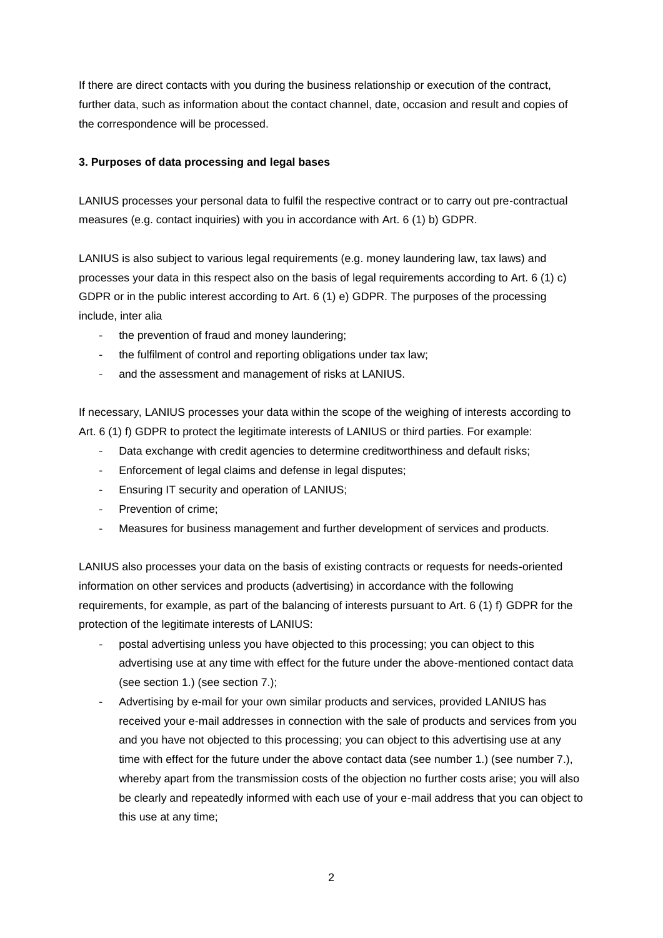If there are direct contacts with you during the business relationship or execution of the contract, further data, such as information about the contact channel, date, occasion and result and copies of the correspondence will be processed.

#### **3. Purposes of data processing and legal bases**

LANIUS processes your personal data to fulfil the respective contract or to carry out pre-contractual measures (e.g. contact inquiries) with you in accordance with Art. 6 (1) b) GDPR.

LANIUS is also subject to various legal requirements (e.g. money laundering law, tax laws) and processes your data in this respect also on the basis of legal requirements according to Art. 6 (1) c) GDPR or in the public interest according to Art. 6 (1) e) GDPR. The purposes of the processing include, inter alia

- the prevention of fraud and money laundering;
- the fulfilment of control and reporting obligations under tax law;
- and the assessment and management of risks at LANIUS.

If necessary, LANIUS processes your data within the scope of the weighing of interests according to Art. 6 (1) f) GDPR to protect the legitimate interests of LANIUS or third parties. For example:

- Data exchange with credit agencies to determine creditworthiness and default risks;
- Enforcement of legal claims and defense in legal disputes;
- Ensuring IT security and operation of LANIUS;
- Prevention of crime;
- Measures for business management and further development of services and products.

LANIUS also processes your data on the basis of existing contracts or requests for needs-oriented information on other services and products (advertising) in accordance with the following requirements, for example, as part of the balancing of interests pursuant to Art. 6 (1) f) GDPR for the protection of the legitimate interests of LANIUS:

- postal advertising unless you have objected to this processing; you can object to this advertising use at any time with effect for the future under the above-mentioned contact data (see section 1.) (see section 7.);
- Advertising by e-mail for your own similar products and services, provided LANIUS has received your e-mail addresses in connection with the sale of products and services from you and you have not objected to this processing; you can object to this advertising use at any time with effect for the future under the above contact data (see number 1.) (see number 7.), whereby apart from the transmission costs of the objection no further costs arise; you will also be clearly and repeatedly informed with each use of your e-mail address that you can object to this use at any time;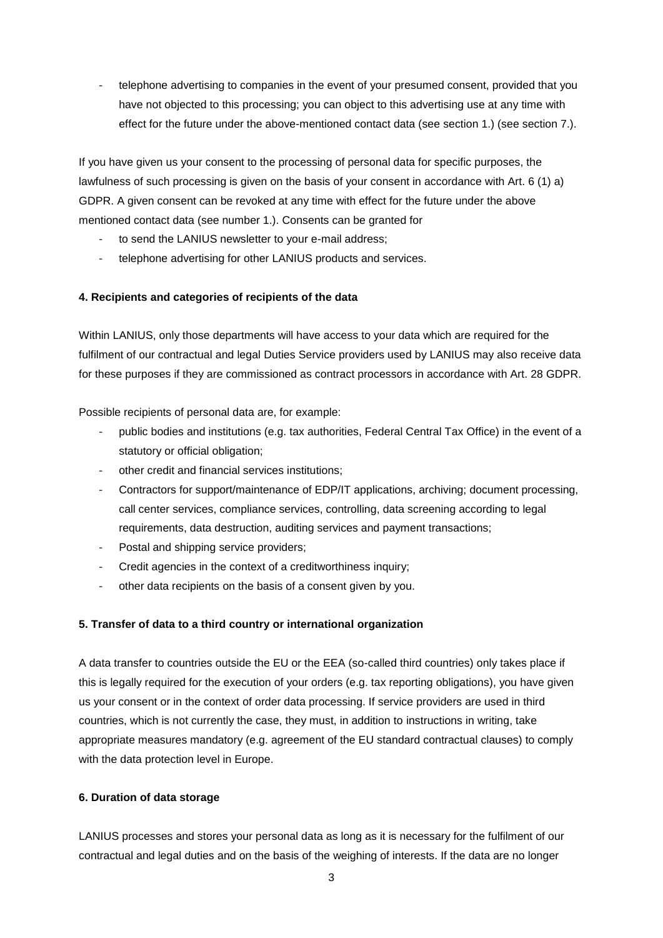telephone advertising to companies in the event of your presumed consent, provided that you have not objected to this processing; you can object to this advertising use at any time with effect for the future under the above-mentioned contact data (see section 1.) (see section 7.).

If you have given us your consent to the processing of personal data for specific purposes, the lawfulness of such processing is given on the basis of your consent in accordance with Art. 6 (1) a) GDPR. A given consent can be revoked at any time with effect for the future under the above mentioned contact data (see number 1.). Consents can be granted for

- to send the LANIUS newsletter to your e-mail address;
- telephone advertising for other LANIUS products and services.

## **4. Recipients and categories of recipients of the data**

Within LANIUS, only those departments will have access to your data which are required for the fulfilment of our contractual and legal Duties Service providers used by LANIUS may also receive data for these purposes if they are commissioned as contract processors in accordance with Art. 28 GDPR.

Possible recipients of personal data are, for example:

- public bodies and institutions (e.g. tax authorities, Federal Central Tax Office) in the event of a statutory or official obligation;
- other credit and financial services institutions;
- Contractors for support/maintenance of EDP/IT applications, archiving; document processing, call center services, compliance services, controlling, data screening according to legal requirements, data destruction, auditing services and payment transactions;
- Postal and shipping service providers;
- Credit agencies in the context of a creditworthiness inquiry;
- other data recipients on the basis of a consent given by you.

#### **5. Transfer of data to a third country or international organization**

A data transfer to countries outside the EU or the EEA (so-called third countries) only takes place if this is legally required for the execution of your orders (e.g. tax reporting obligations), you have given us your consent or in the context of order data processing. If service providers are used in third countries, which is not currently the case, they must, in addition to instructions in writing, take appropriate measures mandatory (e.g. agreement of the EU standard contractual clauses) to comply with the data protection level in Europe.

#### **6. Duration of data storage**

LANIUS processes and stores your personal data as long as it is necessary for the fulfilment of our contractual and legal duties and on the basis of the weighing of interests. If the data are no longer